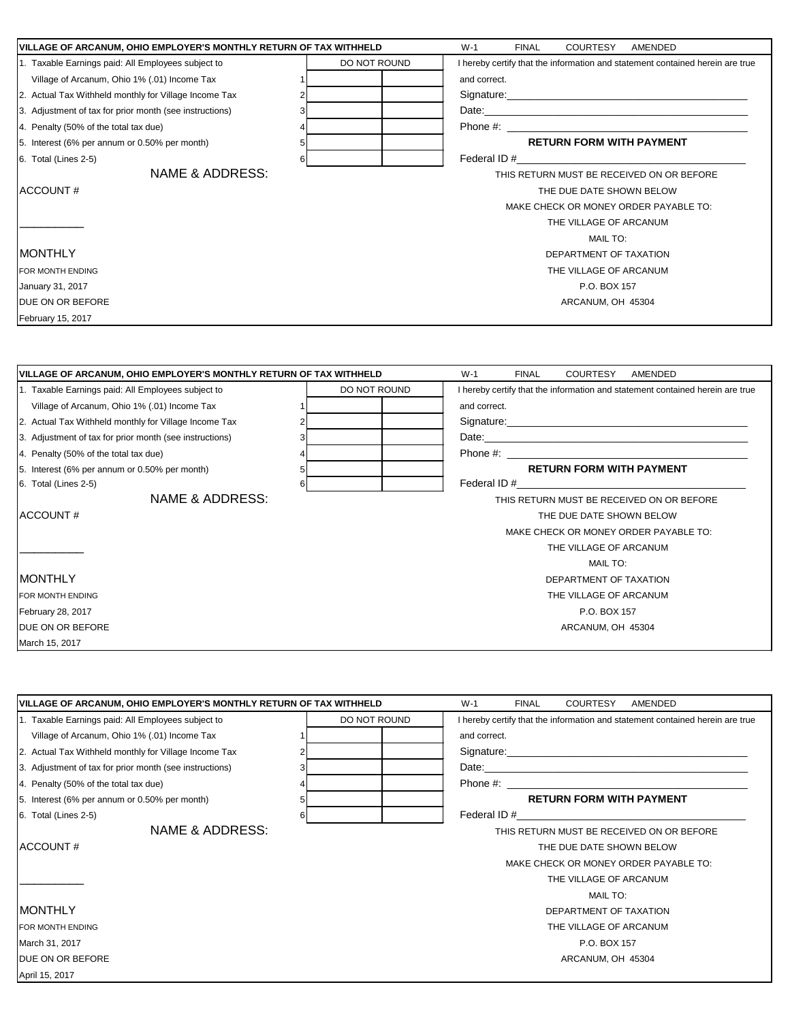| VILLAGE OF ARCANUM, OHIO EMPLOYER'S MONTHLY RETURN OF TAX WITHHELD |              | $W-1$<br><b>FINAL</b><br>COURTESY<br>AMENDED                                  |
|--------------------------------------------------------------------|--------------|-------------------------------------------------------------------------------|
| 1. Taxable Earnings paid: All Employees subject to                 | DO NOT ROUND | I hereby certify that the information and statement contained herein are true |
| Village of Arcanum, Ohio 1% (.01) Income Tax                       |              | and correct.                                                                  |
| 2. Actual Tax Withheld monthly for Village Income Tax              |              |                                                                               |
| 3. Adjustment of tax for prior month (see instructions)            |              |                                                                               |
| 4. Penalty (50% of the total tax due)                              |              |                                                                               |
| 5. Interest (6% per annum or 0.50% per month)                      |              | <b>RETURN FORM WITH PAYMENT</b>                                               |
| 6. Total (Lines 2-5)                                               | 6            |                                                                               |
| NAME & ADDRESS:                                                    |              | THIS RETURN MUST BE RECEIVED ON OR BEFORE                                     |
| ACCOUNT#                                                           |              | THE DUE DATE SHOWN BELOW                                                      |
|                                                                    |              | MAKE CHECK OR MONEY ORDER PAYABLE TO:                                         |
|                                                                    |              | THE VILLAGE OF ARCANUM                                                        |
|                                                                    |              | <b>MAIL TO:</b>                                                               |
| <b>MONTHLY</b>                                                     |              | DEPARTMENT OF TAXATION                                                        |
| FOR MONTH ENDING                                                   |              | THE VILLAGE OF ARCANUM                                                        |
| January 31, 2017                                                   |              | P.O. BOX 157                                                                  |
| DUE ON OR BEFORE                                                   |              | ARCANUM, OH 45304                                                             |
| February 15, 2017                                                  |              |                                                                               |
|                                                                    |              |                                                                               |
| VILLAGE OF ARCANUM, OHIO EMPLOYER'S MONTHLY RETURN OF TAX WITHHELD |              | <b>FINAL</b><br><b>COURTESY</b><br>AMENDED<br>W-1                             |
| 1. Taxable Earnings paid: All Employees subject to                 | DO NOT ROUND | I hereby certify that the information and statement contained herein are true |
| Village of Arcanum, Ohio 1% (.01) Income Tax                       |              | and correct.                                                                  |

| <b>VIRGO OF A NUGHAMI, OTHO T 70 (10 F) INTOXING THAT</b> | and concer.                               |
|-----------------------------------------------------------|-------------------------------------------|
| 2. Actual Tax Withheld monthly for Village Income Tax     | Signature:                                |
| 3. Adjustment of tax for prior month (see instructions)   |                                           |
| 4. Penalty (50% of the total tax due)                     |                                           |
| 5. Interest (6% per annum or 0.50% per month)             | <b>RETURN FORM WITH PAYMENT</b>           |
| 6. Total (Lines 2-5)                                      |                                           |
| NAME & ADDRESS:                                           | THIS RETURN MUST BE RECEIVED ON OR BEFORE |
| ACCOUNT#                                                  | THE DUE DATE SHOWN BELOW                  |
|                                                           | MAKE CHECK OR MONEY ORDER PAYABLE TO:     |
|                                                           | THE VILLAGE OF ARCANUM                    |
|                                                           | MAIL TO:                                  |
| <b>MONTHLY</b>                                            | DEPARTMENT OF TAXATION                    |
| FOR MONTH ENDING                                          | THE VILLAGE OF ARCANUM                    |
| February 28, 2017                                         | P.O. BOX 157                              |
| <b>DUE ON OR BEFORE</b>                                   | ARCANUM, OH 45304                         |
|                                                           |                                           |

March 15, 2017

| VILLAGE OF ARCANUM, OHIO EMPLOYER'S MONTHLY RETURN OF TAX WITHHELD |              | $W-1$<br><b>FINAL</b><br><b>COURTESY</b><br>AMENDED                           |
|--------------------------------------------------------------------|--------------|-------------------------------------------------------------------------------|
| 1. Taxable Earnings paid: All Employees subject to                 | DO NOT ROUND | I hereby certify that the information and statement contained herein are true |
| Village of Arcanum, Ohio 1% (.01) Income Tax                       |              | and correct.                                                                  |
| 2. Actual Tax Withheld monthly for Village Income Tax              |              | Signature: Signature:                                                         |
| 3. Adjustment of tax for prior month (see instructions)            |              |                                                                               |
| 4. Penalty (50% of the total tax due)                              |              |                                                                               |
| 5. Interest (6% per annum or 0.50% per month)                      |              | <b>RETURN FORM WITH PAYMENT</b>                                               |
| 6. Total (Lines 2-5)                                               | 6            |                                                                               |
| NAME & ADDRESS:                                                    |              | THIS RETURN MUST BE RECEIVED ON OR BEFORE                                     |
| ACCOUNT#                                                           |              | THE DUE DATE SHOWN BELOW                                                      |
|                                                                    |              | MAKE CHECK OR MONEY ORDER PAYABLE TO:                                         |
|                                                                    |              | THE VILLAGE OF ARCANUM                                                        |
|                                                                    |              | <b>MAIL TO:</b>                                                               |
| <b>MONTHLY</b>                                                     |              | DEPARTMENT OF TAXATION                                                        |
| FOR MONTH ENDING                                                   |              | THE VILLAGE OF ARCANUM                                                        |
| March 31, 2017                                                     |              | P.O. BOX 157                                                                  |
| DUE ON OR BEFORE                                                   |              | ARCANUM, OH 45304                                                             |
| April 15, 2017                                                     |              |                                                                               |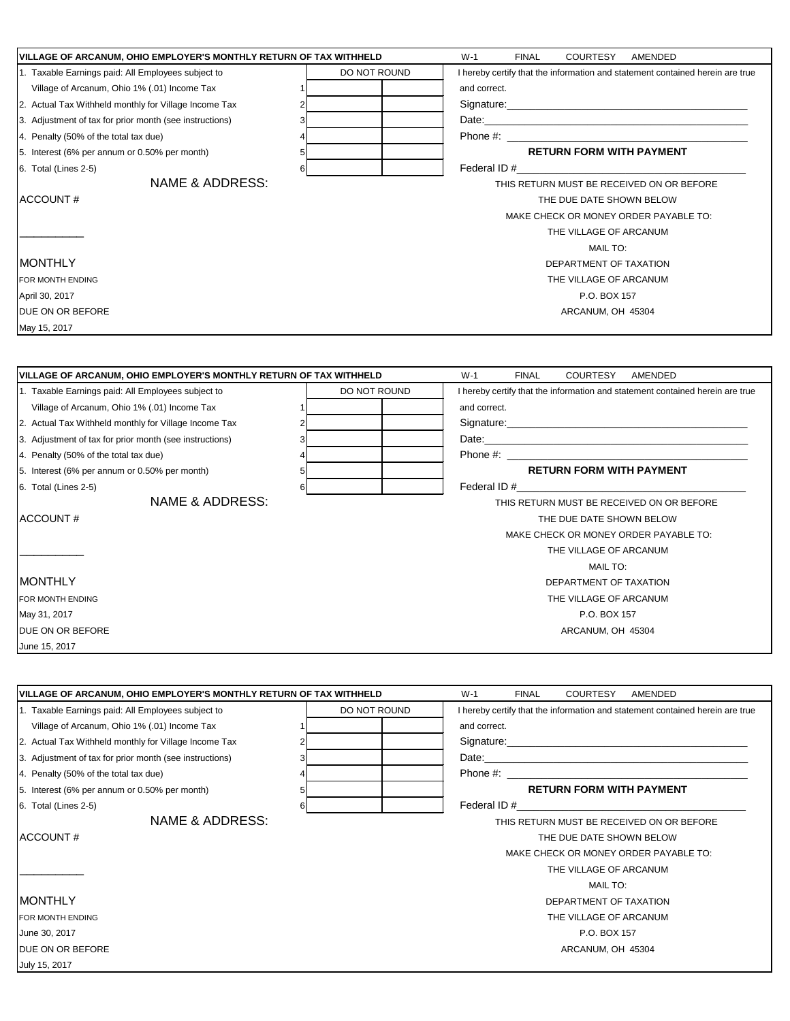| VILLAGE OF ARCANUM, OHIO EMPLOYER'S MONTHLY RETURN OF TAX WITHHELD                                               |              | $W-1$<br><b>FINAL</b><br><b>COURTESY</b><br>AMENDED                                                                                                                                                                            |
|------------------------------------------------------------------------------------------------------------------|--------------|--------------------------------------------------------------------------------------------------------------------------------------------------------------------------------------------------------------------------------|
| 1. Taxable Earnings paid: All Employees subject to                                                               | DO NOT ROUND | I hereby certify that the information and statement contained herein are true                                                                                                                                                  |
| Village of Arcanum, Ohio 1% (.01) Income Tax                                                                     |              | and correct.                                                                                                                                                                                                                   |
| 2. Actual Tax Withheld monthly for Village Income Tax                                                            |              |                                                                                                                                                                                                                                |
| 3. Adjustment of tax for prior month (see instructions)                                                          |              | Date: with a state of the contract of the contract of the contract of the contract of the contract of the contract of the contract of the contract of the contract of the contract of the contract of the contract of the cont |
| 4. Penalty (50% of the total tax due)                                                                            |              |                                                                                                                                                                                                                                |
| 5. Interest (6% per annum or 0.50% per month)                                                                    |              | <b>RETURN FORM WITH PAYMENT</b>                                                                                                                                                                                                |
| 6. Total (Lines 2-5)                                                                                             | 6            | Federal ID #                                                                                                                                                                                                                   |
| <b>NAME &amp; ADDRESS:</b>                                                                                       |              | THIS RETURN MUST BE RECEIVED ON OR BEFORE                                                                                                                                                                                      |
| ACCOUNT#                                                                                                         |              | THE DUE DATE SHOWN BELOW                                                                                                                                                                                                       |
|                                                                                                                  |              | MAKE CHECK OR MONEY ORDER PAYABLE TO:                                                                                                                                                                                          |
|                                                                                                                  |              | THE VILLAGE OF ARCANUM                                                                                                                                                                                                         |
|                                                                                                                  |              | MAIL TO:                                                                                                                                                                                                                       |
| IMONTHLY                                                                                                         |              | DEPARTMENT OF TAXATION                                                                                                                                                                                                         |
| FOR MONTH ENDING                                                                                                 |              | THE VILLAGE OF ARCANUM                                                                                                                                                                                                         |
| April 30, 2017                                                                                                   |              | P.O. BOX 157                                                                                                                                                                                                                   |
| DUE ON OR BEFORE                                                                                                 |              | ARCANUM, OH 45304                                                                                                                                                                                                              |
| May 15, 2017                                                                                                     |              |                                                                                                                                                                                                                                |
|                                                                                                                  |              |                                                                                                                                                                                                                                |
| VILLAGE OF ARCANUM, OHIO EMPLOYER'S MONTHLY RETURN OF TAX WITHHELD                                               |              | <b>FINAL</b><br><b>COURTESY</b><br>AMENDED<br>$W-1$                                                                                                                                                                            |
| 1. Taxable Earnings paid: All Employees subject to                                                               | DO NOT ROUND | I hereby certify that the information and statement contained herein are true                                                                                                                                                  |
| Village of Arcanum, Ohio 1% (.01) Income Tax                                                                     |              | and correct.                                                                                                                                                                                                                   |
| 2. Actual Tax Withheld monthly for Village Income Tax                                                            |              |                                                                                                                                                                                                                                |
| 3. Adjustment of tax for prior month (see instructions)                                                          |              |                                                                                                                                                                                                                                |
| 4. Penalty (50% of the total tax due)                                                                            |              |                                                                                                                                                                                                                                |
| 5. Interest (6% per annum or 0.50% per month)                                                                    | 5            | <b>RETURN FORM WITH PAYMENT</b>                                                                                                                                                                                                |
| 6. Total (Lines 2-5)                                                                                             |              | Federal ID # 6 and 200 and 200 and 200 and 200 and 200 and 200 and 200 and 200 and 200 and 200 and 200 and 200                                                                                                                 |
| NAME & ADDRESS:                                                                                                  |              | THIS RETURN MUST BE RECEIVED ON OR BEFORE                                                                                                                                                                                      |
| ACCOUNT#                                                                                                         |              |                                                                                                                                                                                                                                |
|                                                                                                                  |              | THE DUE DATE SHOWN BELOW                                                                                                                                                                                                       |
|                                                                                                                  |              | MAKE CHECK OR MONEY ORDER PAYABLE TO:                                                                                                                                                                                          |
|                                                                                                                  |              | THE VILLAGE OF ARCANUM                                                                                                                                                                                                         |
|                                                                                                                  |              | MAIL TO:                                                                                                                                                                                                                       |
| <b>MONTHLY</b>                                                                                                   |              | DEPARTMENT OF TAXATION                                                                                                                                                                                                         |
| FOR MONTH ENDING                                                                                                 |              | THE VILLAGE OF ARCANUM                                                                                                                                                                                                         |
| May 31, 2017                                                                                                     |              | P.O. BOX 157                                                                                                                                                                                                                   |
| DUE ON OR BEFORE                                                                                                 |              | ARCANUM, OH 45304                                                                                                                                                                                                              |
| June 15, 2017                                                                                                    |              |                                                                                                                                                                                                                                |
|                                                                                                                  |              |                                                                                                                                                                                                                                |
|                                                                                                                  |              |                                                                                                                                                                                                                                |
| VILLAGE OF ARCANUM, OHIO EMPLOYER'S MONTHLY RETURN OF TAX WITHHELD                                               |              | $W-1$<br><b>FINAL</b><br><b>COURTESY</b><br>AMENDED                                                                                                                                                                            |
| 1. Taxable Earnings paid: All Employees subject to                                                               | DO NOT ROUND | I hereby certify that the information and statement contained herein are true                                                                                                                                                  |
| Village of Arcanum, Ohio 1% (.01) Income Tax                                                                     |              | and correct.                                                                                                                                                                                                                   |
|                                                                                                                  |              |                                                                                                                                                                                                                                |
| 2. Actual Tax Withheld monthly for Village Income Tax<br>3. Adjustment of tax for prior month (see instructions) |              |                                                                                                                                                                                                                                |
|                                                                                                                  |              |                                                                                                                                                                                                                                |
| 4. Penalty (50% of the total tax due)                                                                            |              |                                                                                                                                                                                                                                |
| 5. Interest (6% per annum or 0.50% per month)<br>6. Total (Lines 2-5)                                            | 6            | <b>RETURN FORM WITH PAYMENT</b>                                                                                                                                                                                                |

| ACCOUNT# |  |
|----------|--|
|----------|--|

\_\_\_\_\_\_\_\_\_

## MONTHLY DEPARTMENT OF TAXATION

FOR MONTH ENDING THE VILLAGE OF ARCANUM June 30, 2017 P.O. BOX 157 July 15, 2017

THE DUE DATE SHOWN BELOW MAKE CHECK OR MONEY ORDER PAYABLE TO: THE VILLAGE OF ARCANUM MAIL TO:

DUE ON OR BEFORE ARCANUM, OH 45304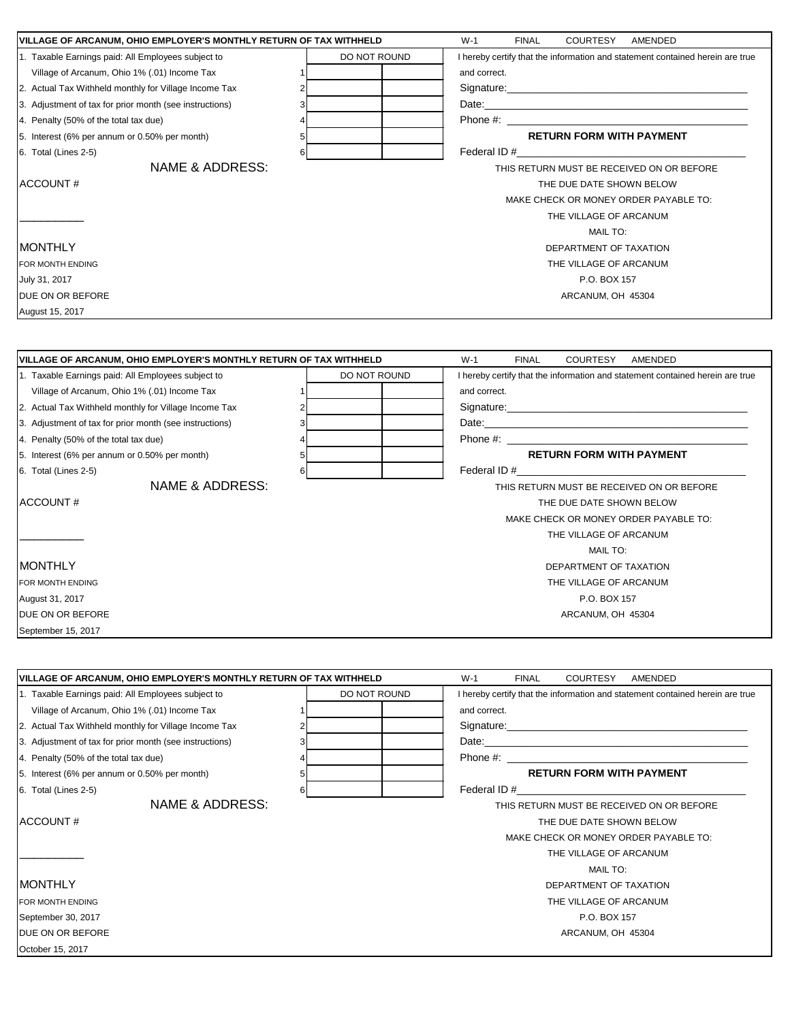| VILLAGE OF ARCANUM, OHIO EMPLOYER'S MONTHLY RETURN OF TAX WITHHELD |              | $W-1$<br><b>FINAL</b><br>COURTESY AMENDED                                     |
|--------------------------------------------------------------------|--------------|-------------------------------------------------------------------------------|
| 1. Taxable Earnings paid: All Employees subject to                 | DO NOT ROUND | I hereby certify that the information and statement contained herein are true |
| Village of Arcanum, Ohio 1% (.01) Income Tax                       |              | and correct.                                                                  |
| 2. Actual Tax Withheld monthly for Village Income Tax              |              |                                                                               |
| 3. Adjustment of tax for prior month (see instructions)            |              |                                                                               |
| 4. Penalty (50% of the total tax due)                              |              | Phone #:                                                                      |
| 5. Interest (6% per annum or 0.50% per month)                      |              | <b>RETURN FORM WITH PAYMENT</b>                                               |
| 6. Total (Lines 2-5)                                               |              | Federal ID #                                                                  |
| NAME & ADDRESS:                                                    |              | THIS RETURN MUST BE RECEIVED ON OR BEFORE                                     |
| <b>ACCOUNT#</b>                                                    |              | THE DUE DATE SHOWN BELOW                                                      |
|                                                                    |              | MAKE CHECK OR MONEY ORDER PAYABLE TO:                                         |
|                                                                    |              | THE VILLAGE OF ARCANUM                                                        |
|                                                                    |              | MAIL TO:                                                                      |
| <b>MONTHLY</b>                                                     |              | DEPARTMENT OF TAXATION                                                        |
| FOR MONTH ENDING                                                   |              | THE VILLAGE OF ARCANUM                                                        |
| July 31, 2017                                                      |              | P.O. BOX 157                                                                  |
| DUE ON OR BEFORE                                                   |              | ARCANUM, OH 45304                                                             |
|                                                                    |              |                                                                               |
| August 15, 2017                                                    |              |                                                                               |
|                                                                    |              |                                                                               |
|                                                                    |              |                                                                               |
| VILLAGE OF ARCANUM, OHIO EMPLOYER'S MONTHLY RETURN OF TAX WITHHELD |              | $W-1$<br><b>FINAL</b><br><b>COURTESY</b><br>AMENDED                           |
| 1. Taxable Earnings paid: All Employees subject to                 | DO NOT ROUND | I hereby certify that the information and statement contained herein are true |
| Village of Arcanum, Ohio 1% (.01) Income Tax                       |              | and correct.                                                                  |
| 2. Actual Tax Withheld monthly for Village Income Tax              |              |                                                                               |
| 3. Adjustment of tax for prior month (see instructions)            |              |                                                                               |
| 4. Penalty (50% of the total tax due)                              |              |                                                                               |
| 5. Interest (6% per annum or 0.50% per month)                      |              | <b>RETURN FORM WITH PAYMENT</b>                                               |
| 6. Total (Lines 2-5)                                               | 6            | Federal ID #                                                                  |
| NAME & ADDRESS:                                                    |              | THIS RETURN MUST BE RECEIVED ON OR BEFORE                                     |
| ACCOUNT#                                                           |              | THE DUE DATE SHOWN BELOW                                                      |
|                                                                    |              | MAKE CHECK OR MONEY ORDER PAYABLE TO:                                         |
|                                                                    |              | THE VILLAGE OF ARCANUM                                                        |
|                                                                    |              | <b>MAIL TO:</b>                                                               |
| <b>MONTHLY</b>                                                     |              | DEPARTMENT OF TAXATION                                                        |
| FOR MONTH ENDING                                                   |              | THE VILLAGE OF ARCANUM                                                        |
| August 31, 2017                                                    |              | P.O. BOX 157                                                                  |
| DUE ON OR BEFORE                                                   |              | ARCANUM, OH 45304                                                             |
| September 15, 2017                                                 |              |                                                                               |
|                                                                    |              |                                                                               |
|                                                                    |              |                                                                               |
| VILLAGE OF ARCANUM, OHIO EMPLOYER'S MONTHLY RETURN OF TAX WITHHELD |              | $W-1$<br><b>FINAL</b><br><b>COURTESY</b><br>AMENDED                           |
| 1. Taxable Earnings paid: All Employees subject to                 | DO NOT ROUND | I hereby certify that the information and statement contained herein are true |
| Village of Arcanum, Ohio 1% (.01) Income Tax                       |              | and correct.                                                                  |
| 2. Actual Tax Withheld monthly for Village Income Tax              |              |                                                                               |
| 3. Adjustment of tax for prior month (see instructions)            |              |                                                                               |
| 4. Penalty (50% of the total tax due)                              |              |                                                                               |
| 5. Interest (6% per annum or 0.50% per month)                      | 5            | <b>RETURN FORM WITH PAYMENT</b>                                               |
| 6. Total (Lines 2-5)                                               | 6            | Federal ID $#$                                                                |
| NAME & ADDRESS:                                                    |              | THIS RETURN MUST BE RECEIVED ON OR BEFORE                                     |
| <b>ACCOUNT#</b>                                                    |              |                                                                               |
|                                                                    |              | THE DUE DATE SHOWN BELOW                                                      |
|                                                                    |              | MAKE CHECK OR MONEY ORDER PAYABLE TO:                                         |
|                                                                    |              | THE VILLAGE OF ARCANUM                                                        |
|                                                                    |              | MAIL TO:                                                                      |
| <b>MONTHLY</b>                                                     |              | DEPARTMENT OF TAXATION                                                        |
| FOR MONTH ENDING                                                   |              | THE VILLAGE OF ARCANUM                                                        |
| September 30, 2017                                                 |              | P.O. BOX 157                                                                  |
| DUE ON OR BEFORE                                                   |              | ARCANUM, OH 45304                                                             |
| October 15, 2017                                                   |              |                                                                               |